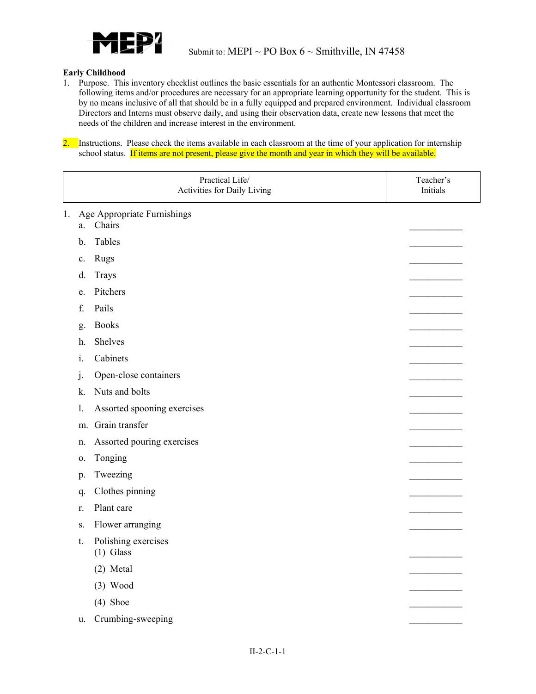

## **Early Childhood**

1. Purpose. This inventory checklist outlines the basic essentials for an authentic Montessori classroom. The following items and/or procedures are necessary for an appropriate learning opportunity for the student. This is by no means inclusive of all that should be in a fully equipped and prepared environment. Individual classroom Directors and Interns must observe daily, and using their observation data, create new lessons that meet the needs of the children and increase interest in the environment.

2. Instructions. Please check the items available in each classroom at the time of your application for internship school status. If items are not present, please give the month and year in which they will be available.

|    |         | Practical Life/<br>Activities for Daily Living | Teacher's<br>Initials |
|----|---------|------------------------------------------------|-----------------------|
| 1. | a.      | Age Appropriate Furnishings<br>Chairs          |                       |
|    | b.      | Tables                                         |                       |
|    | c.      | Rugs                                           |                       |
|    | d.      | Trays                                          |                       |
|    | e.      | Pitchers                                       |                       |
|    | f.      | Pails                                          |                       |
|    | g.      | <b>Books</b>                                   |                       |
|    | h.      | Shelves                                        |                       |
|    | 1.      | Cabinets                                       |                       |
|    | $\cdot$ | Open-close containers                          |                       |
|    | k.      | Nuts and bolts                                 |                       |
|    | 1.      | Assorted spooning exercises                    |                       |
|    | m.      | Grain transfer                                 |                       |
|    | n.      | Assorted pouring exercises                     |                       |
|    | 0.      | Tonging                                        |                       |
|    | p.      | Tweezing                                       |                       |
|    | q.      | Clothes pinning                                |                       |
|    | r.      | Plant care                                     |                       |
|    | S.      | Flower arranging                               |                       |
|    | t.      | Polishing exercises<br>$(1)$ Glass             |                       |
|    |         | (2) Metal                                      |                       |
|    |         | $(3)$ Wood                                     |                       |
|    |         | $(4)$ Shoe                                     |                       |
|    | u.      | Crumbing-sweeping                              |                       |
|    |         |                                                |                       |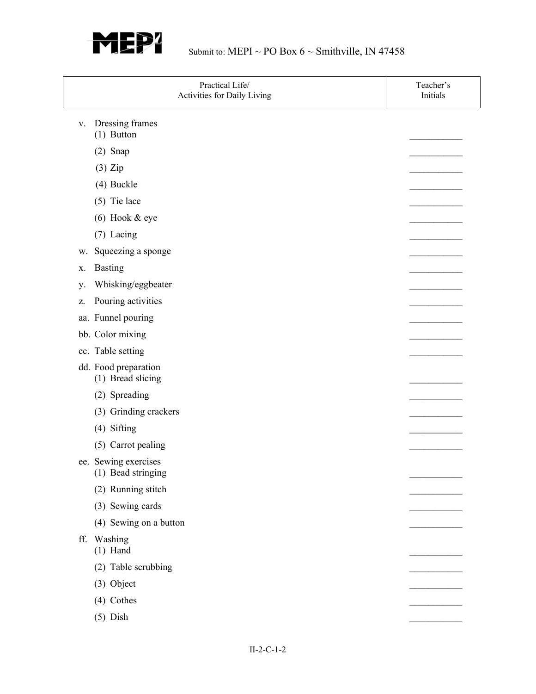

| Practical Life/<br>Activities for Daily Living | Teacher's<br>Initials |
|------------------------------------------------|-----------------------|
| Dressing frames<br>V.<br>$(1)$ Button          |                       |
| $(2)$ Snap                                     |                       |
| $(3)$ Zip                                      |                       |
| (4) Buckle                                     |                       |
| $(5)$ Tie lace                                 |                       |
| $(6)$ Hook & eye                               |                       |
| (7) Lacing                                     |                       |
| Squeezing a sponge<br>w.                       |                       |
| <b>Basting</b><br>X.                           |                       |
| Whisking/eggbeater<br>у.                       |                       |
| Pouring activities<br>z.                       |                       |
| aa. Funnel pouring                             |                       |
| bb. Color mixing                               |                       |
| cc. Table setting                              |                       |
| dd. Food preparation<br>(1) Bread slicing      |                       |
| (2) Spreading                                  |                       |
| (3) Grinding crackers                          |                       |
| (4) Sifting                                    |                       |
| (5) Carrot pealing                             |                       |
| ee. Sewing exercises<br>(1) Bead stringing     |                       |
| (2) Running stitch                             |                       |
| (3) Sewing cards                               |                       |
| (4) Sewing on a button                         |                       |
| Washing<br>ff.<br>$(1)$ Hand                   |                       |
| (2) Table scrubbing                            |                       |
| (3) Object                                     |                       |
| (4) Cothes                                     |                       |
| $(5)$ Dish                                     |                       |
|                                                |                       |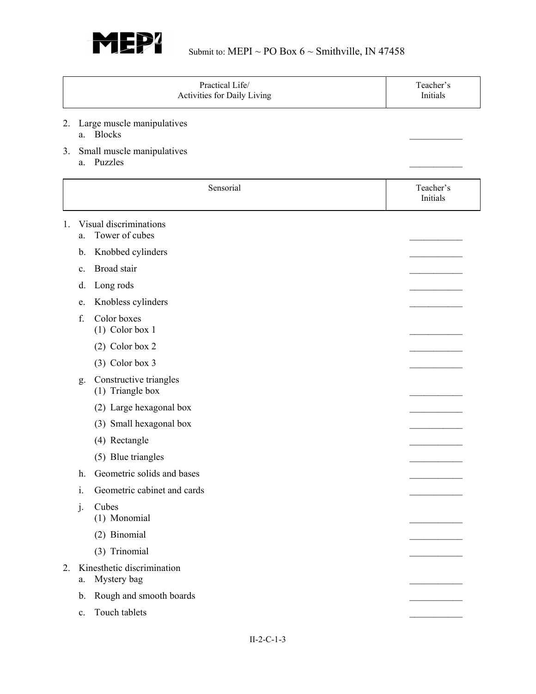

|    |    | Practical Life/<br>Activities for Daily Living | Teacher's<br>Initials |
|----|----|------------------------------------------------|-----------------------|
| 2. |    | Large muscle manipulatives<br>a. Blocks        |                       |
| 3. | a. | Small muscle manipulatives<br>Puzzles          |                       |
|    |    | Sensorial                                      | Teacher's<br>Initials |
| 1. | a. | Visual discriminations<br>Tower of cubes       |                       |
|    | b. | Knobbed cylinders                              |                       |
|    | c. | Broad stair                                    |                       |
|    | d. | Long rods                                      |                       |
|    | e. | Knobless cylinders                             |                       |
|    | f. | Color boxes<br>$(1)$ Color box 1               |                       |
|    |    | $(2)$ Color box 2                              |                       |
|    |    | $(3)$ Color box 3                              |                       |
|    | g. | Constructive triangles<br>(1) Triangle box     |                       |
|    |    | (2) Large hexagonal box                        |                       |
|    |    | (3) Small hexagonal box                        |                       |
|    |    | (4) Rectangle                                  |                       |
|    |    | (5) Blue triangles                             |                       |
|    | h. | Geometric solids and bases                     |                       |
|    | i. | Geometric cabinet and cards                    |                       |
|    | j. | Cubes<br>(1) Monomial                          |                       |
|    |    | (2) Binomial                                   |                       |
|    |    | (3) Trinomial                                  |                       |
| 2. | a. | Kinesthetic discrimination<br>Mystery bag      |                       |
|    | b. | Rough and smooth boards                        |                       |
|    | c. | Touch tablets                                  |                       |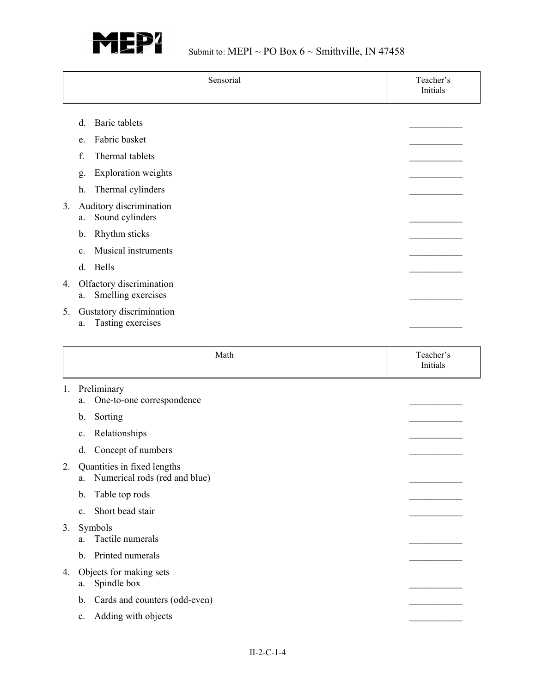

|    |    | Sensorial                                                    | Teacher's<br>Initials |
|----|----|--------------------------------------------------------------|-----------------------|
|    | d. | Baric tablets                                                |                       |
|    | e. | Fabric basket                                                |                       |
|    | f. | Thermal tablets                                              |                       |
|    | g. | Exploration weights                                          |                       |
|    | h. | Thermal cylinders                                            |                       |
| 3. | a. | Auditory discrimination<br>Sound cylinders                   |                       |
|    | b. | Rhythm sticks                                                |                       |
|    | c. | Musical instruments                                          |                       |
|    | d. | Bells                                                        |                       |
| 4. | a. | Olfactory discrimination<br>Smelling exercises               |                       |
| 5. | a. | Gustatory discrimination<br>Tasting exercises                |                       |
|    |    | Math                                                         | Teacher's<br>Initials |
| 1. | a. | Preliminary<br>One-to-one correspondence                     |                       |
|    | b. |                                                              |                       |
|    |    | Sorting                                                      |                       |
|    | c. | Relationships                                                |                       |
|    | d. | Concept of numbers                                           |                       |
| 2. | a. | Quantities in fixed lengths<br>Numerical rods (red and blue) |                       |
|    | b. | Table top rods                                               |                       |
|    | c. | Short bead stair                                             |                       |
| 3. | a. | Symbols<br>Tactile numerals                                  |                       |
|    | b. | Printed numerals                                             |                       |
| 4. | a. | Objects for making sets<br>Spindle box                       |                       |
|    | b. | Cards and counters (odd-even)                                |                       |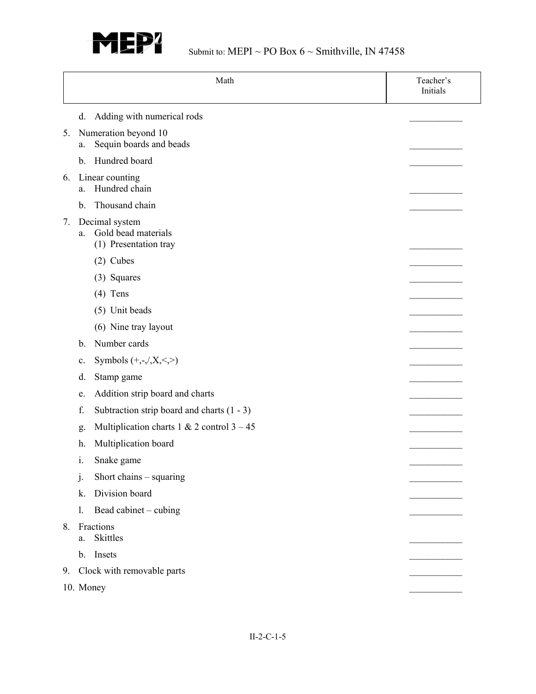

|    | Math                                                                 | Teacher's<br>Initials |
|----|----------------------------------------------------------------------|-----------------------|
|    | Adding with numerical rods<br>d.                                     |                       |
| 5. | Numeration beyond 10<br>Sequin boards and beads<br>a.                |                       |
|    | Hundred board<br>b.                                                  |                       |
| 6. | Linear counting<br>Hundred chain<br>a.                               |                       |
|    | Thousand chain<br>b.                                                 |                       |
| 7. | Decimal system<br>Gold bead materials<br>a.<br>(1) Presentation tray |                       |
|    | $(2)$ Cubes                                                          |                       |
|    | (3) Squares                                                          |                       |
|    | $(4)$ Tens                                                           |                       |
|    | (5) Unit beads                                                       |                       |
|    | (6) Nine tray layout                                                 |                       |
|    | Number cards<br>b.                                                   |                       |
|    | Symbols $(+,-, X, <, >)$<br>c.                                       |                       |
|    | d.<br>Stamp game                                                     |                       |
|    | Addition strip board and charts<br>e.                                |                       |
|    | f.<br>Subtraction strip board and charts $(1 - 3)$                   |                       |
|    | Multiplication charts 1 & 2 control $3 - 45$<br>g.                   |                       |
|    | Multiplication board<br>h.                                           |                       |
|    | i.<br>Snake game                                                     |                       |
|    | Short chains $-$ squaring<br>$\mathbf{j}$ .                          |                       |
|    | Division board<br>k.                                                 |                       |
|    | Bead cabinet - cubing<br>1.                                          |                       |
| 8. | Fractions<br><b>Skittles</b><br>a.                                   |                       |
|    | Insets<br>$\mathbf{b}$ .                                             |                       |
| 9. | Clock with removable parts                                           |                       |
|    | 10. Money                                                            |                       |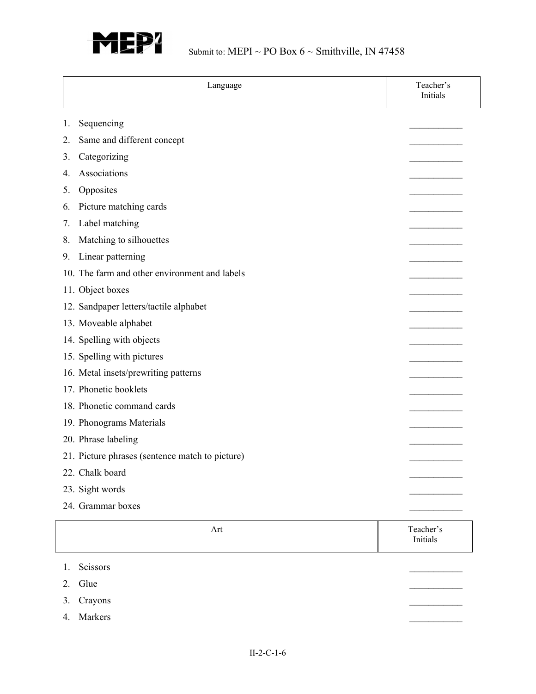

| Language                                        | Teacher's<br>Initials |
|-------------------------------------------------|-----------------------|
| Sequencing<br>1.                                |                       |
| Same and different concept<br>2.                |                       |
| Categorizing<br>3.                              |                       |
| Associations<br>4.                              |                       |
| Opposites<br>5.                                 |                       |
| Picture matching cards<br>6.                    |                       |
| Label matching<br>7.                            |                       |
| Matching to silhouettes<br>8.                   |                       |
| Linear patterning<br>9.                         |                       |
| 10. The farm and other environment and labels   |                       |
| 11. Object boxes                                |                       |
| 12. Sandpaper letters/tactile alphabet          |                       |
| 13. Moveable alphabet                           |                       |
| 14. Spelling with objects                       |                       |
| 15. Spelling with pictures                      |                       |
| 16. Metal insets/prewriting patterns            |                       |
| 17. Phonetic booklets                           |                       |
| 18. Phonetic command cards                      |                       |
| 19. Phonograms Materials                        |                       |
| 20. Phrase labeling                             |                       |
| 21. Picture phrases (sentence match to picture) |                       |
| 22. Chalk board                                 |                       |
| 23. Sight words                                 |                       |
| 24. Grammar boxes                               |                       |
| Art                                             | Teacher's<br>Initials |
| Scissors<br>1.                                  |                       |
| Glue<br>2.                                      |                       |
| Crayons<br>3.                                   |                       |
| Markers<br>4.                                   |                       |
|                                                 |                       |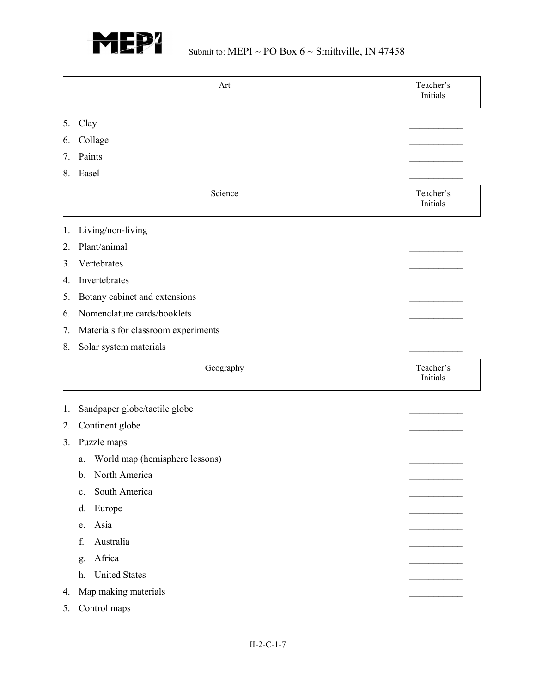

|    | Art                                  | Teacher's<br>Initials |
|----|--------------------------------------|-----------------------|
| 5. | Clay                                 |                       |
| 6. | Collage                              |                       |
| 7. | Paints                               |                       |
| 8. | Easel                                |                       |
|    | Science                              | Teacher's<br>Initials |
| 1. | Living/non-living                    |                       |
| 2. | Plant/animal                         |                       |
| 3. | Vertebrates                          |                       |
| 4. | Invertebrates                        |                       |
| 5. | Botany cabinet and extensions        |                       |
| 6. | Nomenclature cards/booklets          |                       |
| 7. | Materials for classroom experiments  |                       |
| 8. | Solar system materials               |                       |
|    | Geography                            | Teacher's<br>Initials |
| 1. | Sandpaper globe/tactile globe        |                       |
| 2. | Continent globe                      |                       |
| 3. | Puzzle maps                          |                       |
|    | World map (hemisphere lessons)<br>a. |                       |
|    | North America<br>b.                  |                       |
|    | South America<br>c.                  |                       |
|    | Europe<br>d.                         |                       |
|    | Asia<br>e.                           |                       |
|    | Australia<br>f.                      |                       |
|    | Africa<br>g.                         |                       |
|    | <b>United States</b><br>h.           |                       |
| 4. | Map making materials                 |                       |
|    | Control maps                         |                       |